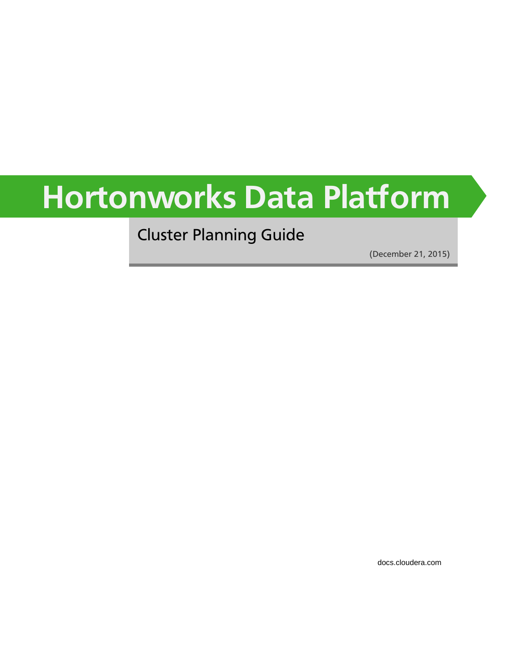# **Hortonworks Data Platform**

Cluster Planning Guide

(December 21, 2015)

[docs.cloudera.com](http://docs.cloudera.com)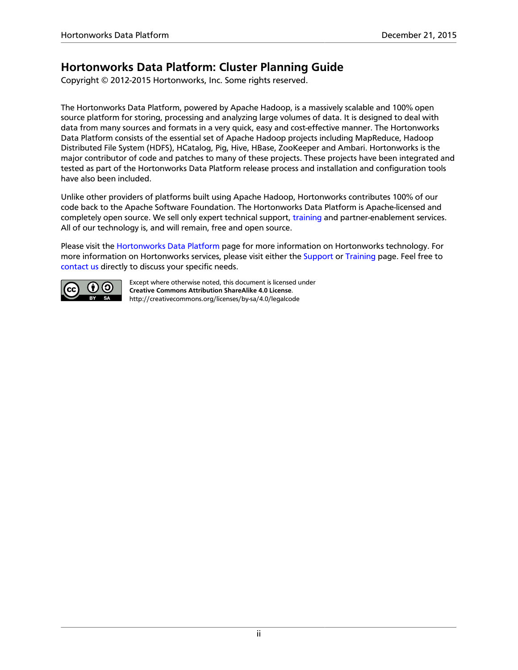### **Hortonworks Data Platform: Cluster Planning Guide**

Copyright © 2012-2015 Hortonworks, Inc. Some rights reserved.

The Hortonworks Data Platform, powered by Apache Hadoop, is a massively scalable and 100% open source platform for storing, processing and analyzing large volumes of data. It is designed to deal with data from many sources and formats in a very quick, easy and cost-effective manner. The Hortonworks Data Platform consists of the essential set of Apache Hadoop projects including MapReduce, Hadoop Distributed File System (HDFS), HCatalog, Pig, Hive, HBase, ZooKeeper and Ambari. Hortonworks is the major contributor of code and patches to many of these projects. These projects have been integrated and tested as part of the Hortonworks Data Platform release process and installation and configuration tools have also been included.

Unlike other providers of platforms built using Apache Hadoop, Hortonworks contributes 100% of our code back to the Apache Software Foundation. The Hortonworks Data Platform is Apache-licensed and completely open source. We sell only expert technical support, [training](https://hortonworks.com/training/) and partner-enablement services. All of our technology is, and will remain, free and open source.

Please visit the [Hortonworks Data Platform](https://hortonworks.com/products/hdp/) page for more information on Hortonworks technology. For more information on Hortonworks services, please visit either the [Support](https://hortonworks.com/services/) or [Training](https://hortonworks.com/training/) page. Feel free to [contact us](https://hortonworks.com/contact-us/) directly to discuss your specific needs.



Except where otherwise noted, this document is licensed under **[Creative Commons Attribution ShareAlike 4.0 License](http://creativecommons.org/licenses/by-sa/4.0/legalcode)**. <http://creativecommons.org/licenses/by-sa/4.0/legalcode>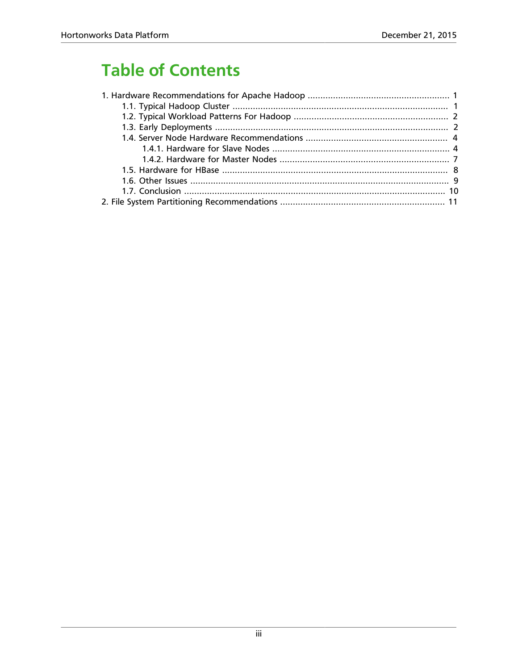# **Table of Contents**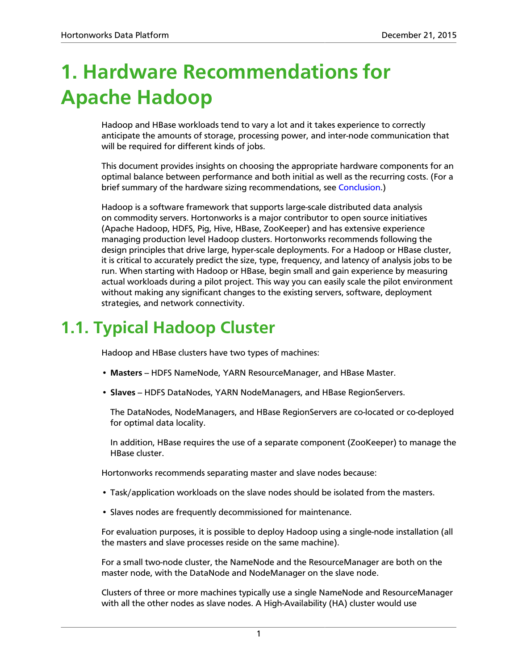# <span id="page-3-0"></span>**1. Hardware Recommendations for Apache Hadoop**

Hadoop and HBase workloads tend to vary a lot and it takes experience to correctly anticipate the amounts of storage, processing power, and inter-node communication that will be required for different kinds of jobs.

This document provides insights on choosing the appropriate hardware components for an optimal balance between performance and both initial as well as the recurring costs. (For a brief summary of the hardware sizing recommendations, see [Conclusion.](#page-12-0))

Hadoop is a software framework that supports large-scale distributed data analysis on commodity servers. Hortonworks is a major contributor to open source initiatives (Apache Hadoop, HDFS, Pig, Hive, HBase, ZooKeeper) and has extensive experience managing production level Hadoop clusters. Hortonworks recommends following the design principles that drive large, hyper-scale deployments. For a Hadoop or HBase cluster, it is critical to accurately predict the size, type, frequency, and latency of analysis jobs to be run. When starting with Hadoop or HBase, begin small and gain experience by measuring actual workloads during a pilot project. This way you can easily scale the pilot environment without making any significant changes to the existing servers, software, deployment strategies, and network connectivity.

# <span id="page-3-1"></span>**1.1. Typical Hadoop Cluster**

Hadoop and HBase clusters have two types of machines:

- **Masters** HDFS NameNode, YARN ResourceManager, and HBase Master.
- **Slaves** HDFS DataNodes, YARN NodeManagers, and HBase RegionServers.

The DataNodes, NodeManagers, and HBase RegionServers are co-located or co-deployed for optimal data locality.

In addition, HBase requires the use of a separate component (ZooKeeper) to manage the HBase cluster.

Hortonworks recommends separating master and slave nodes because:

- Task/application workloads on the slave nodes should be isolated from the masters.
- Slaves nodes are frequently decommissioned for maintenance.

For evaluation purposes, it is possible to deploy Hadoop using a single-node installation (all the masters and slave processes reside on the same machine).

For a small two-node cluster, the NameNode and the ResourceManager are both on the master node, with the DataNode and NodeManager on the slave node.

Clusters of three or more machines typically use a single NameNode and ResourceManager with all the other nodes as slave nodes. A High-Availability (HA) cluster would use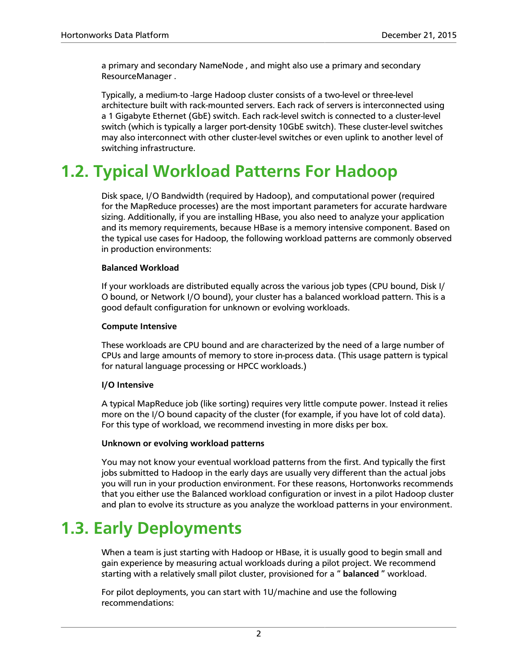a primary and secondary NameNode , and might also use a primary and secondary ResourceManager .

Typically, a medium-to -large Hadoop cluster consists of a two-level or three-level architecture built with rack-mounted servers. Each rack of servers is interconnected using a 1 Gigabyte Ethernet (GbE) switch. Each rack-level switch is connected to a cluster-level switch (which is typically a larger port-density 10GbE switch). These cluster-level switches may also interconnect with other cluster-level switches or even uplink to another level of switching infrastructure.

# <span id="page-4-0"></span>**1.2. Typical Workload Patterns For Hadoop**

Disk space, I/O Bandwidth (required by Hadoop), and computational power (required for the MapReduce processes) are the most important parameters for accurate hardware sizing. Additionally, if you are installing HBase, you also need to analyze your application and its memory requirements, because HBase is a memory intensive component. Based on the typical use cases for Hadoop, the following workload patterns are commonly observed in production environments:

#### **Balanced Workload**

If your workloads are distributed equally across the various job types (CPU bound, Disk I/ O bound, or Network I/O bound), your cluster has a balanced workload pattern. This is a good default configuration for unknown or evolving workloads.

#### **Compute Intensive**

These workloads are CPU bound and are characterized by the need of a large number of CPUs and large amounts of memory to store in-process data. (This usage pattern is typical for natural language processing or HPCC workloads.)

#### **I/O Intensive**

A typical MapReduce job (like sorting) requires very little compute power. Instead it relies more on the I/O bound capacity of the cluster (for example, if you have lot of cold data). For this type of workload, we recommend investing in more disks per box.

#### **Unknown or evolving workload patterns**

You may not know your eventual workload patterns from the first. And typically the first jobs submitted to Hadoop in the early days are usually very different than the actual jobs you will run in your production environment. For these reasons, Hortonworks recommends that you either use the Balanced workload configuration or invest in a pilot Hadoop cluster and plan to evolve its structure as you analyze the workload patterns in your environment.

# <span id="page-4-1"></span>**1.3. Early Deployments**

When a team is just starting with Hadoop or HBase, it is usually good to begin small and gain experience by measuring actual workloads during a pilot project. We recommend starting with a relatively small pilot cluster, provisioned for a " **balanced** " workload.

For pilot deployments, you can start with 1U/machine and use the following recommendations: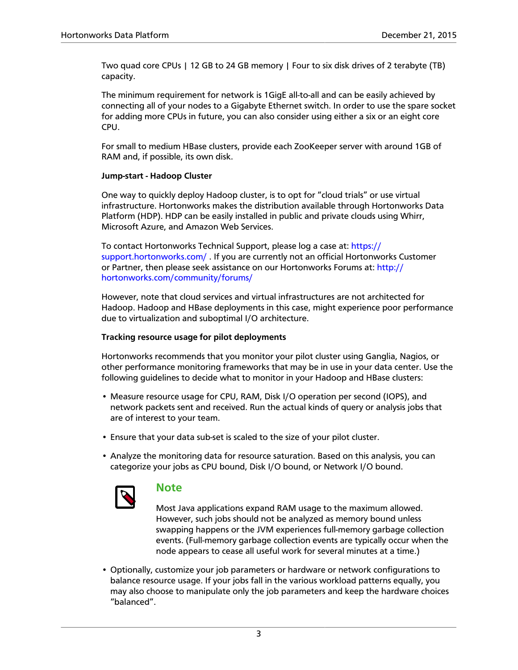Two quad core CPUs | 12 GB to 24 GB memory | Four to six disk drives of 2 terabyte (TB) capacity.

The minimum requirement for network is 1GigE all-to-all and can be easily achieved by connecting all of your nodes to a Gigabyte Ethernet switch. In order to use the spare socket for adding more CPUs in future, you can also consider using either a six or an eight core CPU.

For small to medium HBase clusters, provide each ZooKeeper server with around 1GB of RAM and, if possible, its own disk.

#### **Jump-start - Hadoop Cluster**

One way to quickly deploy Hadoop cluster, is to opt for "cloud trials" or use virtual infrastructure. Hortonworks makes the distribution available through Hortonworks Data Platform (HDP). HDP can be easily installed in public and private clouds using Whirr, Microsoft Azure, and Amazon Web Services.

To contact Hortonworks Technical Support, please log a case at: [https://](https://support.hortonworks.com/) [support.hortonworks.com/](https://support.hortonworks.com/) . If you are currently not an official Hortonworks Customer or Partner, then please seek assistance on our Hortonworks Forums at: [http://](https://hortonworks.com/community/forums/) [hortonworks.com/community/forums/](https://hortonworks.com/community/forums/)

However, note that cloud services and virtual infrastructures are not architected for Hadoop. Hadoop and HBase deployments in this case, might experience poor performance due to virtualization and suboptimal I/O architecture.

#### **Tracking resource usage for pilot deployments**

Hortonworks recommends that you monitor your pilot cluster using Ganglia, Nagios, or other performance monitoring frameworks that may be in use in your data center. Use the following guidelines to decide what to monitor in your Hadoop and HBase clusters:

- Measure resource usage for CPU, RAM, Disk I/O operation per second (IOPS), and network packets sent and received. Run the actual kinds of query or analysis jobs that are of interest to your team.
- Ensure that your data sub-set is scaled to the size of your pilot cluster.
- Analyze the monitoring data for resource saturation. Based on this analysis, you can categorize your jobs as CPU bound, Disk I/O bound, or Network I/O bound.



#### **Note**

Most Java applications expand RAM usage to the maximum allowed. However, such jobs should not be analyzed as memory bound unless swapping happens or the JVM experiences full-memory garbage collection events. (Full-memory garbage collection events are typically occur when the node appears to cease all useful work for several minutes at a time.)

• Optionally, customize your job parameters or hardware or network configurations to balance resource usage. If your jobs fall in the various workload patterns equally, you may also choose to manipulate only the job parameters and keep the hardware choices "balanced".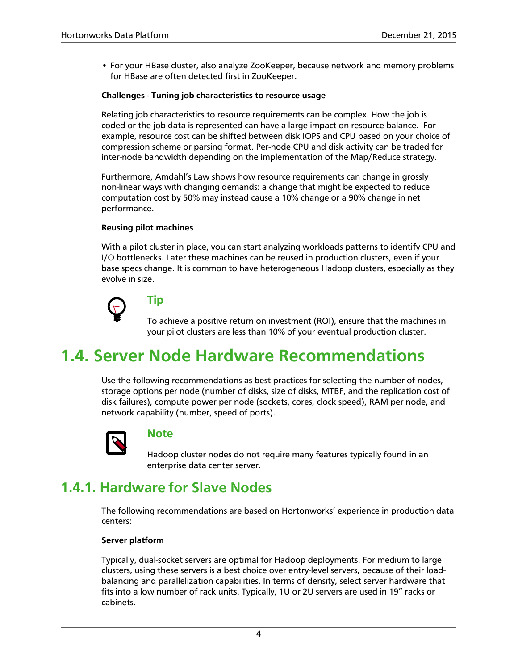• For your HBase cluster, also analyze ZooKeeper, because network and memory problems for HBase are often detected first in ZooKeeper.

#### **Challenges - Tuning job characteristics to resource usage**

Relating job characteristics to resource requirements can be complex. How the job is coded or the job data is represented can have a large impact on resource balance. For example, resource cost can be shifted between disk IOPS and CPU based on your choice of compression scheme or parsing format. Per-node CPU and disk activity can be traded for inter-node bandwidth depending on the implementation of the Map/Reduce strategy.

Furthermore, Amdahl's Law shows how resource requirements can change in grossly non-linear ways with changing demands: a change that might be expected to reduce computation cost by 50% may instead cause a 10% change or a 90% change in net performance.

#### **Reusing pilot machines**

With a pilot cluster in place, you can start analyzing workloads patterns to identify CPU and I/O bottlenecks. Later these machines can be reused in production clusters, even if your base specs change. It is common to have heterogeneous Hadoop clusters, especially as they evolve in size.



### **Tip**

To achieve a positive return on investment (ROI), ensure that the machines in your pilot clusters are less than 10% of your eventual production cluster.

# <span id="page-6-0"></span>**1.4. Server Node Hardware Recommendations**

Use the following recommendations as best practices for selecting the number of nodes, storage options per node (number of disks, size of disks, MTBF, and the replication cost of disk failures), compute power per node (sockets, cores, clock speed), RAM per node, and network capability (number, speed of ports).



#### **Note**

Hadoop cluster nodes do not require many features typically found in an enterprise data center server.

### <span id="page-6-1"></span>**1.4.1. Hardware for Slave Nodes**

The following recommendations are based on Hortonworks' experience in production data centers:

#### **Server platform**

Typically, dual-socket servers are optimal for Hadoop deployments. For medium to large clusters, using these servers is a best choice over entry-level servers, because of their loadbalancing and parallelization capabilities. In terms of density, select server hardware that fits into a low number of rack units. Typically, 1U or 2U servers are used in 19" racks or cabinets.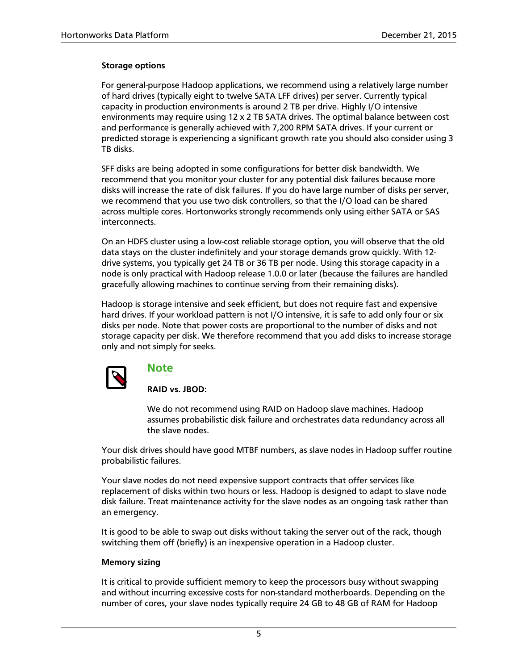#### **Storage options**

For general-purpose Hadoop applications, we recommend using a relatively large number of hard drives (typically eight to twelve SATA LFF drives) per server. Currently typical capacity in production environments is around 2 TB per drive. Highly I/O intensive environments may require using 12 x 2 TB SATA drives. The optimal balance between cost and performance is generally achieved with 7,200 RPM SATA drives. If your current or predicted storage is experiencing a significant growth rate you should also consider using 3 TB disks.

SFF disks are being adopted in some configurations for better disk bandwidth. We recommend that you monitor your cluster for any potential disk failures because more disks will increase the rate of disk failures. If you do have large number of disks per server, we recommend that you use two disk controllers, so that the I/O load can be shared across multiple cores. Hortonworks strongly recommends only using either SATA or SAS interconnects.

On an HDFS cluster using a low-cost reliable storage option, you will observe that the old data stays on the cluster indefinitely and your storage demands grow quickly. With 12 drive systems, you typically get 24 TB or 36 TB per node. Using this storage capacity in a node is only practical with Hadoop release 1.0.0 or later (because the failures are handled gracefully allowing machines to continue serving from their remaining disks).

Hadoop is storage intensive and seek efficient, but does not require fast and expensive hard drives. If your workload pattern is not I/O intensive, it is safe to add only four or six disks per node. Note that power costs are proportional to the number of disks and not storage capacity per disk. We therefore recommend that you add disks to increase storage only and not simply for seeks.



#### **Note**

**RAID vs. JBOD:**

We do not recommend using RAID on Hadoop slave machines. Hadoop assumes probabilistic disk failure and orchestrates data redundancy across all the slave nodes.

Your disk drives should have good MTBF numbers, as slave nodes in Hadoop suffer routine probabilistic failures.

Your slave nodes do not need expensive support contracts that offer services like replacement of disks within two hours or less. Hadoop is designed to adapt to slave node disk failure. Treat maintenance activity for the slave nodes as an ongoing task rather than an emergency.

It is good to be able to swap out disks without taking the server out of the rack, though switching them off (briefly) is an inexpensive operation in a Hadoop cluster.

#### **Memory sizing**

It is critical to provide sufficient memory to keep the processors busy without swapping and without incurring excessive costs for non-standard motherboards. Depending on the number of cores, your slave nodes typically require 24 GB to 48 GB of RAM for Hadoop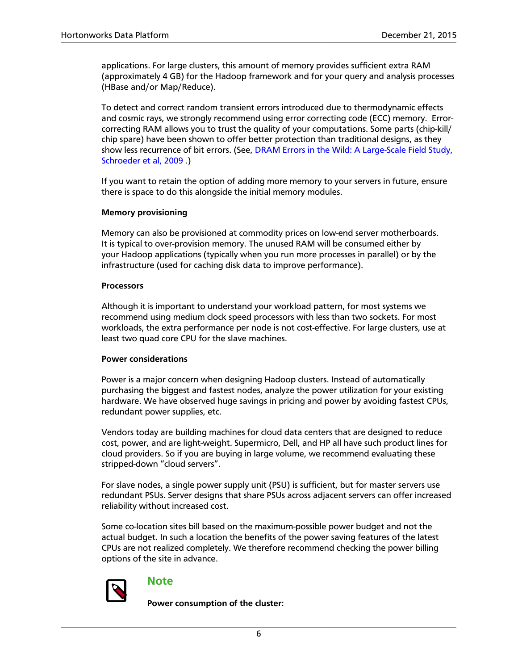applications. For large clusters, this amount of memory provides sufficient extra RAM (approximately 4 GB) for the Hadoop framework and for your query and analysis processes (HBase and/or Map/Reduce).

To detect and correct random transient errors introduced due to thermodynamic effects and cosmic rays, we strongly recommend using error correcting code (ECC) memory. Errorcorrecting RAM allows you to trust the quality of your computations. Some parts (chip-kill/ chip spare) have been shown to offer better protection than traditional designs, as they show less recurrence of bit errors. (See, [DRAM Errors in the Wild: A Large-Scale Field Study,](http://www.cs.utoronto.ca/~bianca/papers/sigmetrics09.pdf) [Schroeder et al, 2009](http://www.cs.utoronto.ca/~bianca/papers/sigmetrics09.pdf) .)

If you want to retain the option of adding more memory to your servers in future, ensure there is space to do this alongside the initial memory modules.

#### **Memory provisioning**

Memory can also be provisioned at commodity prices on low-end server motherboards. It is typical to over-provision memory. The unused RAM will be consumed either by your Hadoop applications (typically when you run more processes in parallel) or by the infrastructure (used for caching disk data to improve performance).

#### **Processors**

Although it is important to understand your workload pattern, for most systems we recommend using medium clock speed processors with less than two sockets. For most workloads, the extra performance per node is not cost-effective. For large clusters, use at least two quad core CPU for the slave machines.

#### **Power considerations**

Power is a major concern when designing Hadoop clusters. Instead of automatically purchasing the biggest and fastest nodes, analyze the power utilization for your existing hardware. We have observed huge savings in pricing and power by avoiding fastest CPUs, redundant power supplies, etc.

Vendors today are building machines for cloud data centers that are designed to reduce cost, power, and are light-weight. Supermicro, Dell, and HP all have such product lines for cloud providers. So if you are buying in large volume, we recommend evaluating these stripped-down "cloud servers".

For slave nodes, a single power supply unit (PSU) is sufficient, but for master servers use redundant PSUs. Server designs that share PSUs across adjacent servers can offer increased reliability without increased cost.

Some co-location sites bill based on the maximum-possible power budget and not the actual budget. In such a location the benefits of the power saving features of the latest CPUs are not realized completely. We therefore recommend checking the power billing options of the site in advance.



#### **Note**

**Power consumption of the cluster:**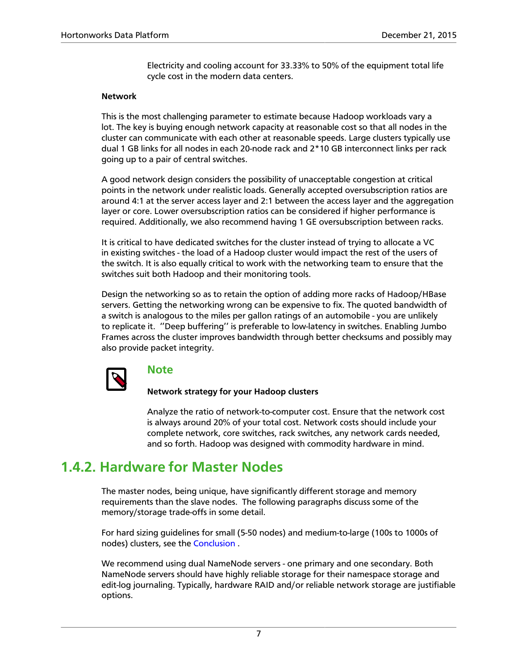Electricity and cooling account for 33.33% to 50% of the equipment total life cycle cost in the modern data centers.

#### **Network**

This is the most challenging parameter to estimate because Hadoop workloads vary a lot. The key is buying enough network capacity at reasonable cost so that all nodes in the cluster can communicate with each other at reasonable speeds. Large clusters typically use dual 1 GB links for all nodes in each 20-node rack and 2\*10 GB interconnect links per rack going up to a pair of central switches.

A good network design considers the possibility of unacceptable congestion at critical points in the network under realistic loads. Generally accepted oversubscription ratios are around 4:1 at the server access layer and 2:1 between the access layer and the aggregation layer or core. Lower oversubscription ratios can be considered if higher performance is required. Additionally, we also recommend having 1 GE oversubscription between racks.

It is critical to have dedicated switches for the cluster instead of trying to allocate a VC in existing switches - the load of a Hadoop cluster would impact the rest of the users of the switch. It is also equally critical to work with the networking team to ensure that the switches suit both Hadoop and their monitoring tools.

Design the networking so as to retain the option of adding more racks of Hadoop/HBase servers. Getting the networking wrong can be expensive to fix. The quoted bandwidth of a switch is analogous to the miles per gallon ratings of an automobile - you are unlikely to replicate it. ''Deep buffering'' is preferable to low-latency in switches. Enabling Jumbo Frames across the cluster improves bandwidth through better checksums and possibly may also provide packet integrity.



#### **Note**

**Network strategy for your Hadoop clusters**

Analyze the ratio of network-to-computer cost. Ensure that the network cost is always around 20% of your total cost. Network costs should include your complete network, core switches, rack switches, any network cards needed, and so forth. Hadoop was designed with commodity hardware in mind.

### <span id="page-9-0"></span>**1.4.2. Hardware for Master Nodes**

The master nodes, being unique, have significantly different storage and memory requirements than the slave nodes. The following paragraphs discuss some of the memory/storage trade-offs in some detail.

For hard sizing guidelines for small (5-50 nodes) and medium-to-large (100s to 1000s of nodes) clusters, see the [Conclusion](#page-12-0) .

We recommend using dual NameNode servers - one primary and one secondary. Both NameNode servers should have highly reliable storage for their namespace storage and edit-log journaling. Typically, hardware RAID and/or reliable network storage are justifiable options.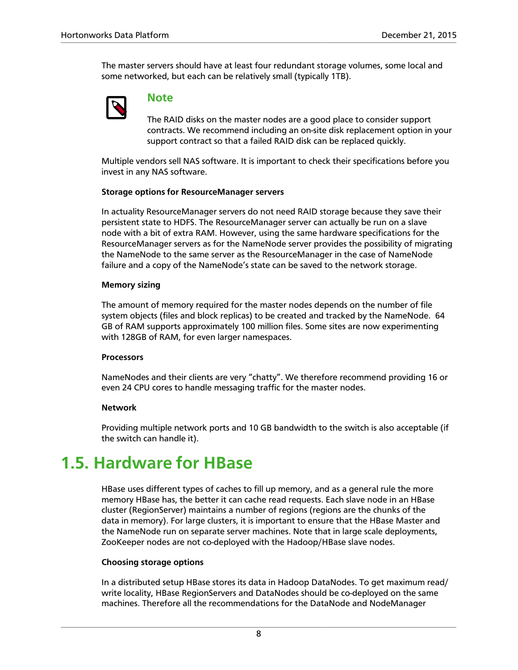The master servers should have at least four redundant storage volumes, some local and some networked, but each can be relatively small (typically 1TB).



#### **Note**

The RAID disks on the master nodes are a good place to consider support contracts. We recommend including an on-site disk replacement option in your support contract so that a failed RAID disk can be replaced quickly.

Multiple vendors sell NAS software. It is important to check their specifications before you invest in any NAS software.

#### **Storage options for ResourceManager servers**

In actuality ResourceManager servers do not need RAID storage because they save their persistent state to HDFS. The ResourceManager server can actually be run on a slave node with a bit of extra RAM. However, using the same hardware specifications for the ResourceManager servers as for the NameNode server provides the possibility of migrating the NameNode to the same server as the ResourceManager in the case of NameNode failure and a copy of the NameNode's state can be saved to the network storage.

#### **Memory sizing**

The amount of memory required for the master nodes depends on the number of file system objects (files and block replicas) to be created and tracked by the NameNode. 64 GB of RAM supports approximately 100 million files. Some sites are now experimenting with 128GB of RAM, for even larger namespaces.

#### **Processors**

NameNodes and their clients are very "chatty". We therefore recommend providing 16 or even 24 CPU cores to handle messaging traffic for the master nodes.

#### **Network**

Providing multiple network ports and 10 GB bandwidth to the switch is also acceptable (if the switch can handle it).

# <span id="page-10-0"></span>**1.5. Hardware for HBase**

HBase uses different types of caches to fill up memory, and as a general rule the more memory HBase has, the better it can cache read requests. Each slave node in an HBase cluster (RegionServer) maintains a number of regions (regions are the chunks of the data in memory). For large clusters, it is important to ensure that the HBase Master and the NameNode run on separate server machines. Note that in large scale deployments, ZooKeeper nodes are not co-deployed with the Hadoop/HBase slave nodes.

#### **Choosing storage options**

In a distributed setup HBase stores its data in Hadoop DataNodes. To get maximum read/ write locality, HBase RegionServers and DataNodes should be co-deployed on the same machines. Therefore all the recommendations for the DataNode and NodeManager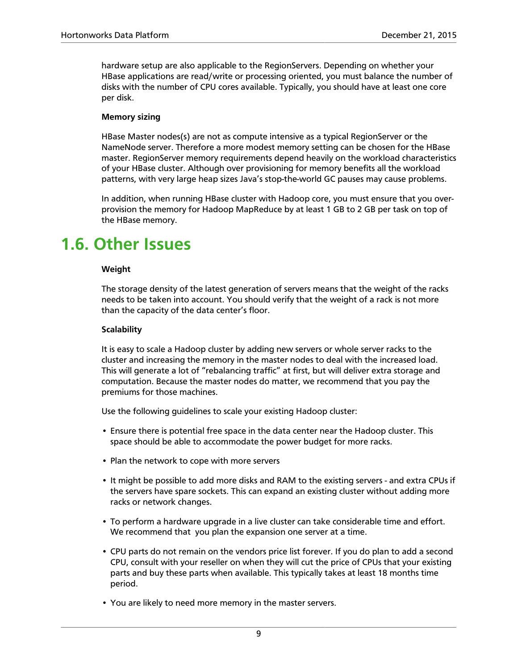hardware setup are also applicable to the RegionServers. Depending on whether your HBase applications are read/write or processing oriented, you must balance the number of disks with the number of CPU cores available. Typically, you should have at least one core per disk.

#### **Memory sizing**

HBase Master nodes(s) are not as compute intensive as a typical RegionServer or the NameNode server. Therefore a more modest memory setting can be chosen for the HBase master. RegionServer memory requirements depend heavily on the workload characteristics of your HBase cluster. Although over provisioning for memory benefits all the workload patterns, with very large heap sizes Java's stop-the-world GC pauses may cause problems.

In addition, when running HBase cluster with Hadoop core, you must ensure that you overprovision the memory for Hadoop MapReduce by at least 1 GB to 2 GB per task on top of the HBase memory.

# <span id="page-11-0"></span>**1.6. Other Issues**

#### **Weight**

The storage density of the latest generation of servers means that the weight of the racks needs to be taken into account. You should verify that the weight of a rack is not more than the capacity of the data center's floor.

#### **Scalability**

It is easy to scale a Hadoop cluster by adding new servers or whole server racks to the cluster and increasing the memory in the master nodes to deal with the increased load. This will generate a lot of "rebalancing traffic" at first, but will deliver extra storage and computation. Because the master nodes do matter, we recommend that you pay the premiums for those machines.

Use the following guidelines to scale your existing Hadoop cluster:

- Ensure there is potential free space in the data center near the Hadoop cluster. This space should be able to accommodate the power budget for more racks.
- Plan the network to cope with more servers
- It might be possible to add more disks and RAM to the existing servers and extra CPUs if the servers have spare sockets. This can expand an existing cluster without adding more racks or network changes.
- To perform a hardware upgrade in a live cluster can take considerable time and effort. We recommend that you plan the expansion one server at a time.
- CPU parts do not remain on the vendors price list forever. If you do plan to add a second CPU, consult with your reseller on when they will cut the price of CPUs that your existing parts and buy these parts when available. This typically takes at least 18 months time period.
- You are likely to need more memory in the master servers.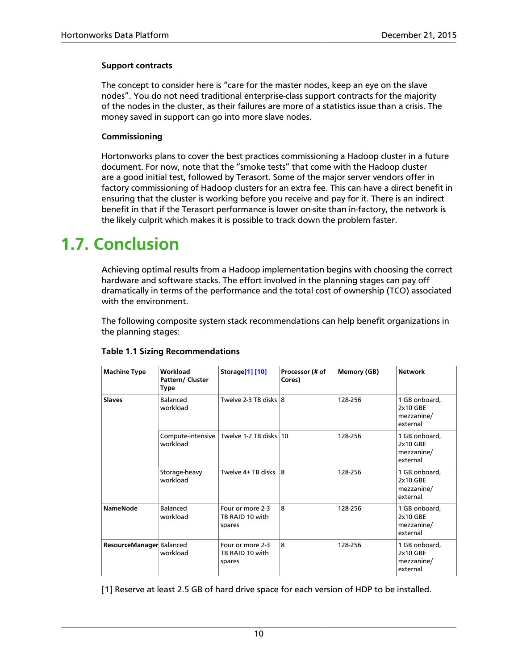#### **Support contracts**

The concept to consider here is "care for the master nodes, keep an eye on the slave nodes". You do not need traditional enterprise-class support contracts for the majority of the nodes in the cluster, as their failures are more of a statistics issue than a crisis. The money saved in support can go into more slave nodes.

#### **Commissioning**

Hortonworks plans to cover the best practices commissioning a Hadoop cluster in a future document. For now, note that the "smoke tests" that come with the Hadoop cluster are a good initial test, followed by Terasort. Some of the major server vendors offer in factory commissioning of Hadoop clusters for an extra fee. This can have a direct benefit in ensuring that the cluster is working before you receive and pay for it. There is an indirect benefit in that if the Terasort performance is lower on-site than in-factory, the network is the likely culprit which makes it is possible to track down the problem faster.

# <span id="page-12-0"></span>**1.7. Conclusion**

Achieving optimal results from a Hadoop implementation begins with choosing the correct hardware and software stacks. The effort involved in the planning stages can pay off dramatically in terms of the performance and the total cost of ownership (TCO) associated with the environment.

The following composite system stack recommendations can help benefit organizations in the planning stages:

| <b>Machine Type</b>      | Workload<br>Pattern/ Cluster<br>Type | Storage[1] [10]                               | Processor (# of<br>Cores) | Memory (GB) | <b>Network</b>                                      |
|--------------------------|--------------------------------------|-----------------------------------------------|---------------------------|-------------|-----------------------------------------------------|
| <b>Slaves</b>            | Balanced<br>workload                 | Twelve 2-3 TB disks 8                         |                           | 128-256     | 1 GB onboard,<br>2x10 GBE<br>mezzanine/<br>external |
|                          | workload                             | Compute-intensive   Twelve 1-2 TB disks   10  |                           | 128-256     | 1 GB onboard,<br>2x10 GBE<br>mezzanine/<br>external |
|                          | Storage-heavy<br>workload            | Twelve 4+ TB disks                            | 8                         | 128-256     | 1 GB onboard,<br>2x10 GBE<br>mezzanine/<br>external |
| <b>NameNode</b>          | Balanced<br>workload                 | Four or more 2-3<br>TB RAID 10 with<br>spares | 8                         | 128-256     | 1 GB onboard,<br>2x10 GBE<br>mezzanine/<br>external |
| ResourceManager Balanced | workload                             | Four or more 2-3<br>TB RAID 10 with<br>spares | 8                         | 128-256     | 1 GB onboard,<br>2x10 GBE<br>mezzanine/<br>external |

#### **Table 1.1 Sizing Recommendations**

<span id="page-12-1"></span>[1] Reserve at least 2.5 GB of hard drive space for each version of HDP to be installed.